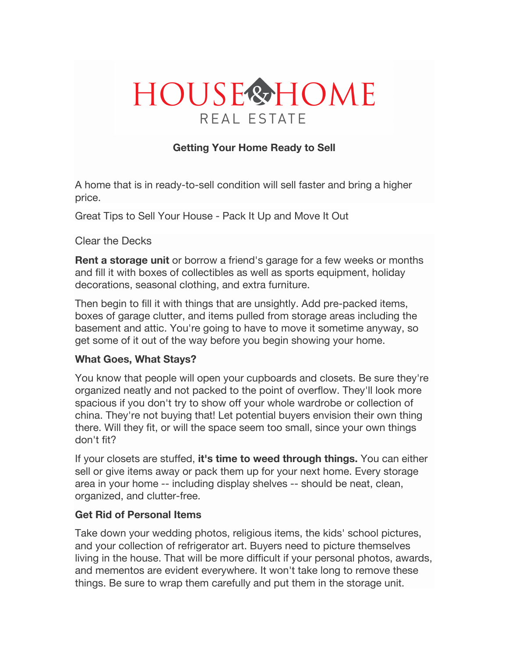# **HOUSE®HOME** REAL ESTATE

# **Getting Your Home Ready to Sell**

A home that is in ready-to-sell condition will sell faster and bring a higher price.

Great Tips to Sell Your House - Pack It Up and Move It Out

## Clear the Decks

**Rent a storage unit** or borrow a friend's garage for a few weeks or months and fill it with boxes of collectibles as well as sports equipment, holiday decorations, seasonal clothing, and extra furniture.

Then begin to fill it with things that are unsightly. Add pre-packed items, boxes of garage clutter, and items pulled from storage areas including the basement and attic. You're going to have to move it sometime anyway, so get some of it out of the way before you begin showing your home.

# **What Goes, What Stays?**

You know that people will open your cupboards and closets. Be sure they're organized neatly and not packed to the point of overflow. They'll look more spacious if you don't try to show off your whole wardrobe or collection of china. They're not buying that! Let potential buyers envision their own thing there. Will they fit, or will the space seem too small, since your own things don't fit?

If your closets are stuffed, **it's time to weed through things.** You can either sell or give items away or pack them up for your next home. Every storage area in your home -- including display shelves -- should be neat, clean, organized, and clutter-free.

# **Get Rid of Personal Items**

Take down your wedding photos, religious items, the kids' school pictures, and your collection of refrigerator art. Buyers need to picture themselves living in the house. That will be more difficult if your personal photos, awards, and mementos are evident everywhere. It won't take long to remove these things. Be sure to wrap them carefully and put them in the storage unit.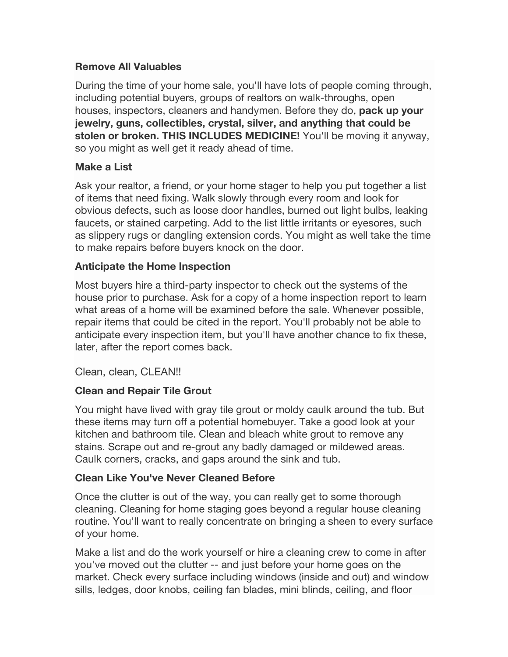## **Remove All Valuables**

During the time of your home sale, you'll have lots of people coming through, including potential buyers, groups of realtors on walk-throughs, open houses, inspectors, cleaners and handymen. Before they do, **pack up your jewelry, guns, collectibles, crystal, silver, and anything that could be stolen or broken. THIS INCLUDES MEDICINE!** You'll be moving it anyway, so you might as well get it ready ahead of time.

#### **Make a List**

Ask your realtor, a friend, or your home stager to help you put together a list of items that need fixing. Walk slowly through every room and look for obvious defects, such as loose door handles, burned out light bulbs, leaking faucets, or stained carpeting. Add to the list little irritants or eyesores, such as slippery rugs or dangling extension cords. You might as well take the time to make repairs before buyers knock on the door.

## **Anticipate the Home Inspection**

Most buyers hire a third-party inspector to check out the systems of the house prior to purchase. Ask for a copy of a home inspection report to learn what areas of a home will be examined before the sale. Whenever possible, repair items that could be cited in the report. You'll probably not be able to anticipate every inspection item, but you'll have another chance to fix these, later, after the report comes back.

Clean, clean, CLEAN!!

# **Clean and Repair Tile Grout**

You might have lived with gray tile grout or moldy caulk around the tub. But these items may turn off a potential homebuyer. Take a good look at your kitchen and bathroom tile. Clean and bleach white grout to remove any stains. Scrape out and re-grout any badly damaged or mildewed areas. Caulk corners, cracks, and gaps around the sink and tub.

# **Clean Like You've Never Cleaned Before**

Once the clutter is out of the way, you can really get to some thorough cleaning. Cleaning for home staging goes beyond a regular house cleaning routine. You'll want to really concentrate on bringing a sheen to every surface of your home.

Make a list and do the work yourself or hire a cleaning crew to come in after you've moved out the clutter -- and just before your home goes on the market. Check every surface including windows (inside and out) and window sills, ledges, door knobs, ceiling fan blades, mini blinds, ceiling, and floor